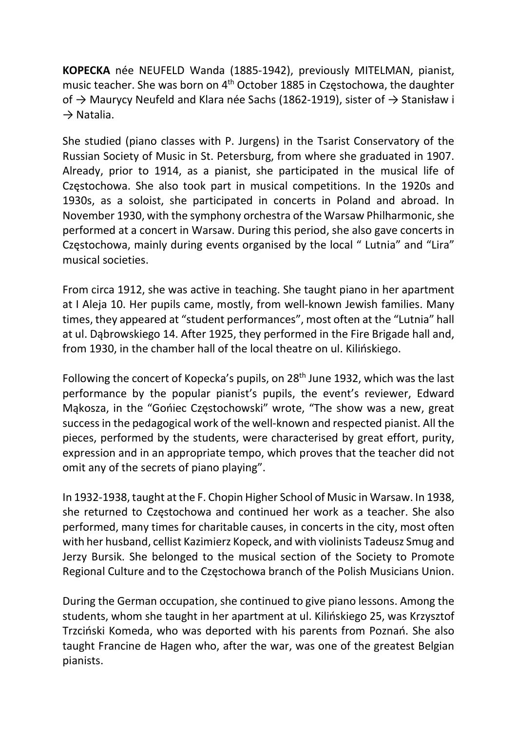KOPECKA née NEUFELD Wanda (1885-1942), previously MITELMAN, pianist, music teacher. She was born on 4th October 1885 in Częstochowa, the daughter of → Maurycy Neufeld and Klara née Sachs (1862-1919), sister of → Stanisław i  $\rightarrow$  Natalia.

She studied (piano classes with P. Jurgens) in the Tsarist Conservatory of the Russian Society of Music in St. Petersburg, from where she graduated in 1907. Already, prior to 1914, as a pianist, she participated in the musical life of Częstochowa. She also took part in musical competitions. In the 1920s and 1930s, as a soloist, she participated in concerts in Poland and abroad. In November 1930, with the symphony orchestra of the Warsaw Philharmonic, she performed at a concert in Warsaw. During this period, she also gave concerts in Częstochowa, mainly during events organised by the local " Lutnia" and "Lira" musical societies.

From circa 1912, she was active in teaching. She taught piano in her apartment at I Aleja 10. Her pupils came, mostly, from well-known Jewish families. Many times, they appeared at "student performances", most often at the "Lutnia" hall at ul. Dąbrowskiego 14. After 1925, they performed in the Fire Brigade hall and, from 1930, in the chamber hall of the local theatre on ul. Kilińskiego.

Following the concert of Kopecka's pupils, on 28<sup>th</sup> June 1932, which was the last performance by the popular pianist's pupils, the event's reviewer, Edward Mąkosza, in the "Gońiec Częstochowski" wrote, "The show was a new, great success in the pedagogical work of the well-known and respected pianist. All the pieces, performed by the students, were characterised by great effort, purity, expression and in an appropriate tempo, which proves that the teacher did not omit any of the secrets of piano playing".

In 1932-1938, taught at the F. Chopin Higher School of Music in Warsaw. In 1938, she returned to Częstochowa and continued her work as a teacher. She also performed, many times for charitable causes, in concerts in the city, most often with her husband, cellist Kazimierz Kopeck, and with violinists Tadeusz Smug and Jerzy Bursik. She belonged to the musical section of the Society to Promote Regional Culture and to the Częstochowa branch of the Polish Musicians Union.

During the German occupation, she continued to give piano lessons. Among the students, whom she taught in her apartment at ul. Kilińskiego 25, was Krzysztof Trzciński Komeda, who was deported with his parents from Poznań. She also taught Francine de Hagen who, after the war, was one of the greatest Belgian pianists.